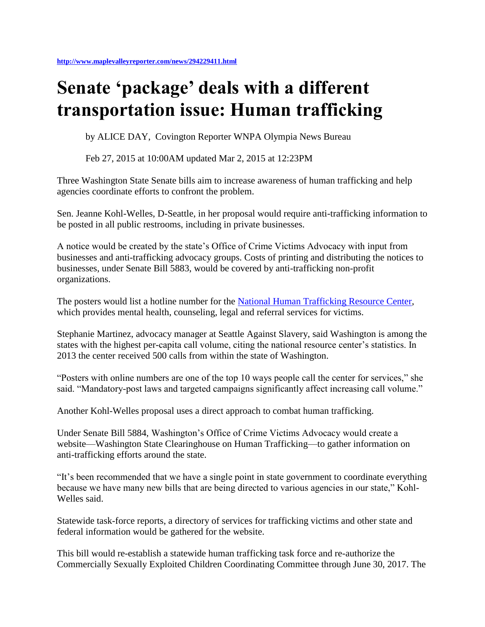## **Senate 'package' deals with a different transportation issue: Human trafficking**

by ALICE DAY, Covington Reporter WNPA Olympia News Bureau

Feb 27, 2015 at 10:00AM updated Mar 2, 2015 at 12:23PM

Three Washington State Senate bills aim to increase awareness of human trafficking and help agencies coordinate efforts to confront the problem.

Sen. Jeanne Kohl-Welles, D-Seattle, in her proposal would require anti-trafficking information to be posted in all public restrooms, including in private businesses.

A notice would be created by the state's Office of Crime Victims Advocacy with input from businesses and anti-trafficking advocacy groups. Costs of printing and distributing the notices to businesses, under Senate Bill 5883, would be covered by anti-trafficking non-profit organizations.

The posters would list a hotline number for the [National Human Trafficking Resource Center,](http://www.traffickingresourcecenter.org/state/washington) which provides mental health, counseling, legal and referral services for victims.

Stephanie Martinez, advocacy manager at Seattle Against Slavery, said Washington is among the states with the highest per-capita call volume, citing the national resource center's statistics. In 2013 the center received 500 calls from within the state of Washington.

"Posters with online numbers are one of the top 10 ways people call the center for services," she said. "Mandatory-post laws and targeted campaigns significantly affect increasing call volume."

Another Kohl-Welles proposal uses a direct approach to combat human trafficking.

Under Senate Bill 5884, Washington's Office of Crime Victims Advocacy would create a website—Washington State Clearinghouse on Human Trafficking—to gather information on anti-trafficking efforts around the state.

"It's been recommended that we have a single point in state government to coordinate everything because we have many new bills that are being directed to various agencies in our state," Kohl-Welles said.

Statewide task-force reports, a directory of services for trafficking victims and other state and federal information would be gathered for the website.

This bill would re-establish a statewide human trafficking task force and re-authorize the Commercially Sexually Exploited Children Coordinating Committee through June 30, 2017. The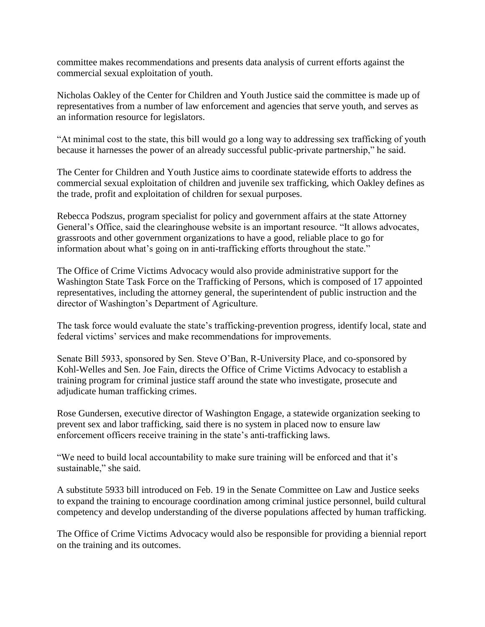committee makes recommendations and presents data analysis of current efforts against the commercial sexual exploitation of youth.

Nicholas Oakley of the Center for Children and Youth Justice said the committee is made up of representatives from a number of law enforcement and agencies that serve youth, and serves as an information resource for legislators.

"At minimal cost to the state, this bill would go a long way to addressing sex trafficking of youth because it harnesses the power of an already successful public-private partnership," he said.

The Center for Children and Youth Justice aims to coordinate statewide efforts to address the commercial sexual exploitation of children and juvenile sex trafficking, which Oakley defines as the trade, profit and exploitation of children for sexual purposes.

Rebecca Podszus, program specialist for policy and government affairs at the state Attorney General's Office, said the clearinghouse website is an important resource. "It allows advocates, grassroots and other government organizations to have a good, reliable place to go for information about what's going on in anti-trafficking efforts throughout the state."

The Office of Crime Victims Advocacy would also provide administrative support for the Washington State Task Force on the Trafficking of Persons, which is composed of 17 appointed representatives, including the attorney general, the superintendent of public instruction and the director of Washington's Department of Agriculture.

The task force would evaluate the state's trafficking-prevention progress, identify local, state and federal victims' services and make recommendations for improvements.

Senate Bill 5933, sponsored by Sen. Steve O'Ban, R-University Place, and co-sponsored by Kohl-Welles and Sen. Joe Fain, directs the Office of Crime Victims Advocacy to establish a training program for criminal justice staff around the state who investigate, prosecute and adjudicate human trafficking crimes.

Rose Gundersen, executive director of Washington Engage, a statewide organization seeking to prevent sex and labor trafficking, said there is no system in placed now to ensure law enforcement officers receive training in the state's anti-trafficking laws.

"We need to build local accountability to make sure training will be enforced and that it's sustainable," she said.

A substitute 5933 bill introduced on Feb. 19 in the Senate Committee on Law and Justice seeks to expand the training to encourage coordination among criminal justice personnel, build cultural competency and develop understanding of the diverse populations affected by human trafficking.

The Office of Crime Victims Advocacy would also be responsible for providing a biennial report on the training and its outcomes.